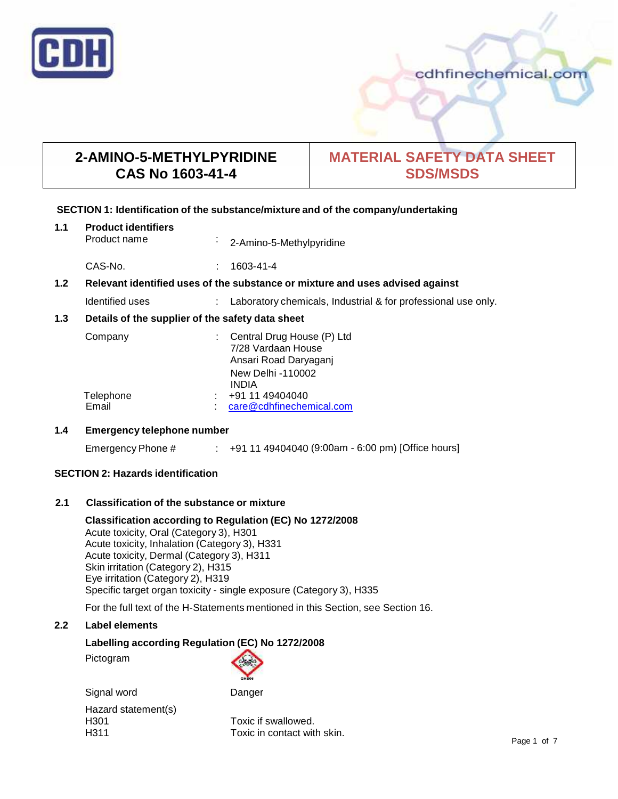

## **2-AMINO-5-METHYLPYRIDINE CAS No 1603-41-4**

# **MATERIAL SAFETY DATA SHEET SDS/MSDS**

## **SECTION 1: Identification of the substance/mixture and of the company/undertaking**

| 1.1                                                                                  | <b>Product identifiers</b><br>Product name       | $\blacksquare$ | 2-Amino-5-Methylpyridine                                                                                       |
|--------------------------------------------------------------------------------------|--------------------------------------------------|----------------|----------------------------------------------------------------------------------------------------------------|
|                                                                                      | CAS-No.                                          | $\mathcal{L}$  | 1603-41-4                                                                                                      |
| 1.2<br>Relevant identified uses of the substance or mixture and uses advised against |                                                  |                |                                                                                                                |
|                                                                                      | Identified uses                                  |                | Laboratory chemicals, Industrial & for professional use only.                                                  |
| 1.3                                                                                  | Details of the supplier of the safety data sheet |                |                                                                                                                |
|                                                                                      | Company                                          |                | Central Drug House (P) Ltd<br>7/28 Vardaan House<br>Ansari Road Daryaganj<br>New Delhi -110002<br><b>INDIA</b> |
|                                                                                      | Telephone<br>Email                               |                | +91 11 49404040<br>care@cdhfinechemical.com                                                                    |

## **1.4 Emergency telephone number**

Emergency Phone # : +91 11 49404040 (9:00am - 6:00 pm) [Office hours]

## **SECTION 2: Hazards identification**

## **2.1 Classification of the substance ormixture**

**Classification according to Regulation (EC) No 1272/2008** Acute toxicity, Oral (Category 3), H301 Acute toxicity, Inhalation (Category 3), H331 Acute toxicity, Dermal (Category 3), H311 Skin irritation (Category 2), H315 Eye irritation (Category 2), H319 Specific target organ toxicity - single exposure (Category 3), H335

For the full text of the H-Statements mentioned in this Section, see Section 16.

## **2.2 Label elements**

## **Labelling according Regulation (EC) No 1272/2008**

Pictogram



Signal word Danger

Hazard statement(s)

H301 Toxic if swallowed.<br>
H311 Toxic in contact wit Toxic in contact with skin.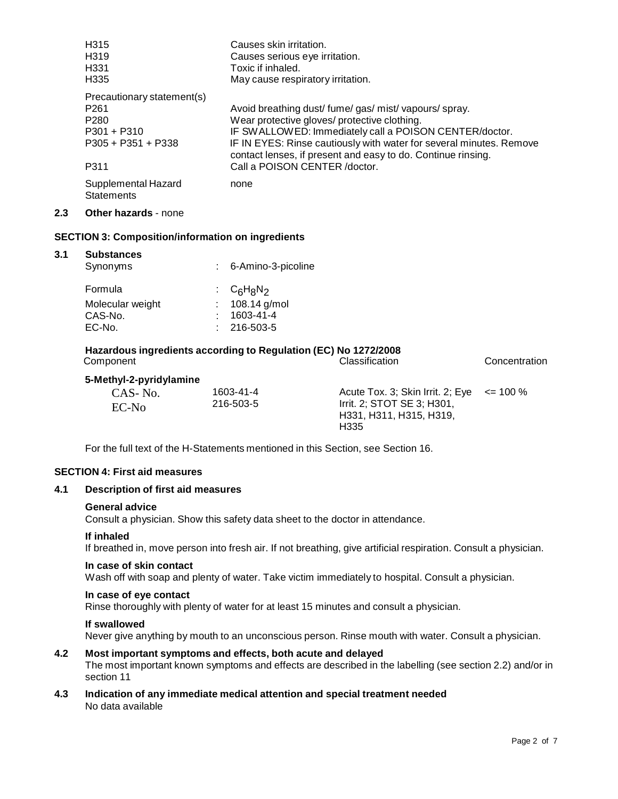|     | H <sub>315</sub>                         | Causes skin irritation.                                                                                                             |
|-----|------------------------------------------|-------------------------------------------------------------------------------------------------------------------------------------|
|     | H319                                     | Causes serious eye irritation.                                                                                                      |
|     | H <sub>331</sub>                         | Toxic if inhaled.                                                                                                                   |
|     | H335                                     | May cause respiratory irritation.                                                                                                   |
|     | Precautionary statement(s)               |                                                                                                                                     |
|     | P <sub>261</sub>                         | Avoid breathing dust/fume/gas/mist/vapours/spray.                                                                                   |
|     | P <sub>280</sub>                         | Wear protective gloves/ protective clothing.                                                                                        |
|     | $P301 + P310$                            | IF SWALLOWED: Immediately call a POISON CENTER/doctor.                                                                              |
|     | $P305 + P351 + P338$                     | IF IN EYES: Rinse cautiously with water for several minutes. Remove<br>contact lenses, if present and easy to do. Continue rinsing. |
|     | P311                                     | Call a POISON CENTER / doctor.                                                                                                      |
|     | Supplemental Hazard<br><b>Statements</b> | none                                                                                                                                |
| 2.3 | <b>Other hazards - none</b>              |                                                                                                                                     |

## **SECTION 3: Composition/information on ingredients**

#### **3.1 Substances**

| : 6-Amino-3-picoline |
|----------------------|
| : $C_6H_8N_2$        |
| : $108.14$ g/mol     |
| 1603-41-4            |
| $: 216 - 503 - 5$    |
|                      |

#### **Hazardous ingredients according to Regulation (EC) No 1272/2008** Classification Concentration

## **5-Methyl-2-pyridylamine**

| .<br>CAS-No.<br>EC-N <sub>o</sub> | 1603-41-4<br>216-503-5 | Acute Tox. 3; Skin Irrit. 2; Eye $\leq$ = 100 %<br>Irrit. 2; STOT SE 3; H301,<br>H331, H311, H315, H319,<br>H335 |  |
|-----------------------------------|------------------------|------------------------------------------------------------------------------------------------------------------|--|
|-----------------------------------|------------------------|------------------------------------------------------------------------------------------------------------------|--|

For the full text of the H-Statements mentioned in this Section, see Section 16.

## **SECTION 4: First aid measures**

#### **4.1 Description of first aid measures**

#### **General advice**

Consult a physician. Show this safety data sheet to the doctor in attendance.

#### **If inhaled**

If breathed in, move person into fresh air. If not breathing, give artificial respiration. Consult a physician.

#### **In case of skin contact**

Wash off with soap and plenty of water. Take victim immediately to hospital. Consult a physician.

## **In case of eye contact**

Rinse thoroughly with plenty of water for at least 15 minutes and consult a physician.

#### **If swallowed**

Never give anything by mouth to an unconscious person. Rinse mouth with water. Consult a physician.

## **4.2 Most important symptoms and effects, both acute and delayed**

The most important known symptoms and effects are described in the labelling (see section 2.2) and/or in section 11

## **4.3 Indication of any immediate medical attention and special treatment needed** No data available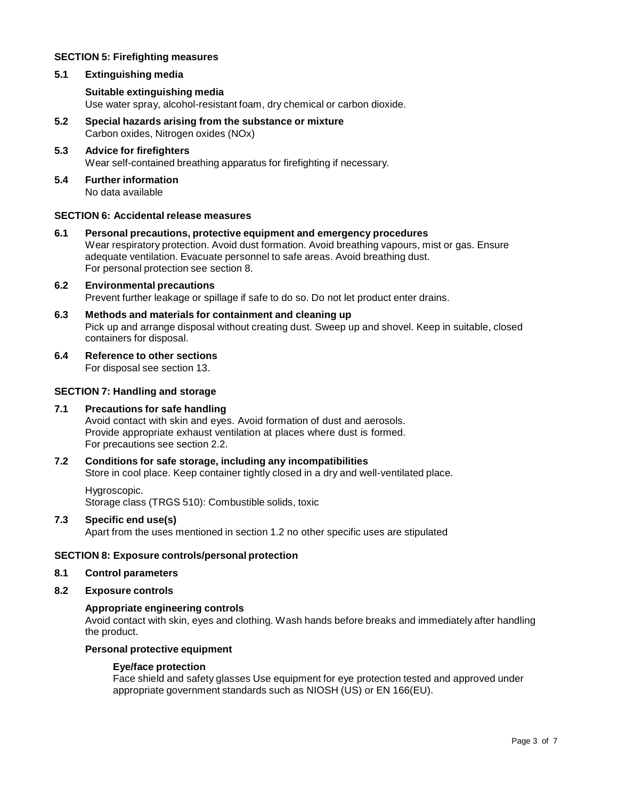## **SECTION 5: Firefighting measures**

## **5.1 Extinguishing media**

## **Suitable extinguishing media**

Use water spray, alcohol-resistant foam, dry chemical or carbon dioxide.

- **5.2 Special hazards arising from the substance ormixture** Carbon oxides, Nitrogen oxides (NOx)
- **5.3 Advice for firefighters** Wear self-contained breathing apparatus for firefighting if necessary.
- **5.4 Further information** No data available

#### **SECTION 6: Accidental release measures**

**6.1 Personal precautions, protective equipment and emergency procedures** Wear respiratory protection. Avoid dust formation. Avoid breathing vapours, mist or gas. Ensure adequate ventilation. Evacuate personnel to safe areas. Avoid breathing dust. For personal protection see section 8.

## **6.2 Environmental precautions** Prevent further leakage or spillage if safe to do so. Do not let product enter drains.

- **6.3 Methods and materials for containment and cleaning up** Pick up and arrange disposal without creating dust. Sweep up and shovel. Keep in suitable, closed containers for disposal.
- **6.4 Reference to other sections**

For disposal see section 13.

## **SECTION 7: Handling and storage**

## **7.1 Precautions for safe handling**

Avoid contact with skin and eyes. Avoid formation of dust and aerosols. Provide appropriate exhaust ventilation at places where dust is formed. For precautions see section 2.2.

## **7.2 Conditions for safe storage, including any incompatibilities**

Store in cool place. Keep container tightly closed in a dry and well-ventilated place.

Hygroscopic. Storage class (TRGS 510): Combustible solids, toxic

#### **7.3 Specific end use(s)**

Apart from the uses mentioned in section 1.2 no other specific uses are stipulated

## **SECTION 8: Exposure controls/personal protection**

- **8.1 Control parameters**
- **8.2 Exposure controls**

## **Appropriate engineering controls**

Avoid contact with skin, eyes and clothing. Wash hands before breaks and immediately after handling the product.

#### **Personal protective equipment**

#### **Eye/face protection**

Face shield and safety glasses Use equipment for eye protection tested and approved under appropriate government standards such as NIOSH (US) or EN 166(EU).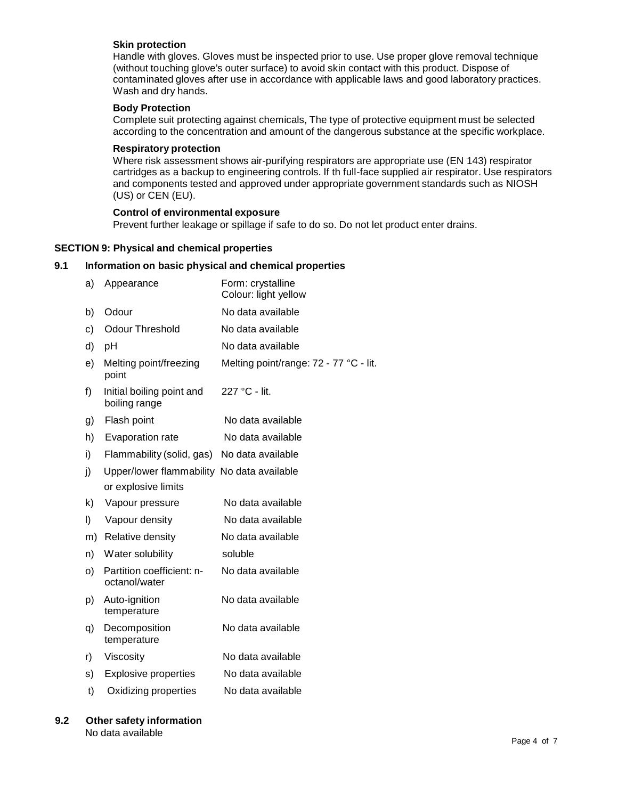#### **Skin protection**

Handle with gloves. Gloves must be inspected prior to use. Use proper glove removal technique (without touching glove's outer surface) to avoid skin contact with this product. Dispose of contaminated gloves after use in accordance with applicable laws and good laboratory practices. Wash and dry hands.

## **Body Protection**

Complete suit protecting against chemicals, The type of protective equipment must be selected according to the concentration and amount of the dangerous substance at the specific workplace.

#### **Respiratory protection**

Where risk assessment shows air-purifying respirators are appropriate use (EN 143) respirator cartridges as a backup to engineering controls. If th full-face supplied air respirator. Use respirators and components tested and approved under appropriate government standards such as NIOSH (US) or CEN (EU).

#### **Control of environmental exposure**

Prevent further leakage or spillage if safe to do so. Do not let product enter drains.

#### **SECTION 9: Physical and chemical properties**

#### **9.1 Information on basic physical and chemical properties**

| a) | Appearance                                 | Form: crystalline<br>Colour: light yellow |
|----|--------------------------------------------|-------------------------------------------|
| b) | Odour                                      | No data available                         |
| c) | <b>Odour Threshold</b>                     | No data available                         |
| d) | pH                                         | No data available                         |
| e) | Melting point/freezing<br>point            | Melting point/range: 72 - 77 °C - lit.    |
| f) | Initial boiling point and<br>boiling range | 227 °C - lit.                             |
| g) | Flash point                                | No data available                         |
| h) | Evaporation rate                           | No data available                         |
| i) | Flammability (solid, gas)                  | No data available                         |
| j) | Upper/lower flammability No data available |                                           |
|    | or explosive limits                        |                                           |
| k) | Vapour pressure                            | No data available                         |
| I) | Vapour density                             | No data available                         |
| m) | Relative density                           | No data available                         |
| n) | Water solubility                           | soluble                                   |
| o) | Partition coefficient: n-<br>octanol/water | No data available                         |
| p) | Auto-ignition<br>temperature               | No data available                         |
| q) | Decomposition<br>temperature               | No data available                         |
| r) | Viscosity                                  | No data available                         |
| s) | <b>Explosive properties</b>                | No data available                         |
| t) | Oxidizing properties                       | No data available                         |
|    |                                            |                                           |

#### **9.2 Other safety information** No data available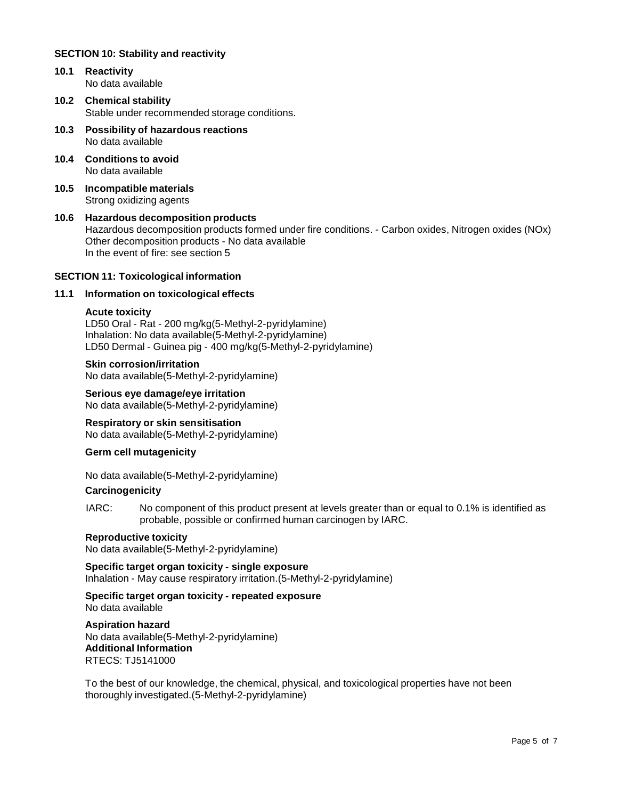## **SECTION 10: Stability and reactivity**

- **10.1 Reactivity** No data available
- **10.2 Chemical stability** Stable under recommended storage conditions.
- **10.3 Possibility of hazardous reactions** No data available
- **10.4 Conditions to avoid** No data available
- **10.5 Incompatible materials** Strong oxidizing agents
- **10.6 Hazardous decomposition products** Hazardous decomposition products formed under fire conditions. - Carbon oxides, Nitrogen oxides (NOx) Other decomposition products - No data available In the event of fire: see section 5

## **SECTION 11: Toxicological information**

## **11.1 Information on toxicological effects**

#### **Acute toxicity**

LD50 Oral - Rat - 200 mg/kg(5-Methyl-2-pyridylamine) Inhalation: No data available(5-Methyl-2-pyridylamine) LD50 Dermal - Guinea pig - 400 mg/kg(5-Methyl-2-pyridylamine)

#### **Skin corrosion/irritation**

No data available(5-Methyl-2-pyridylamine)

**Serious eye damage/eye irritation** No data available(5-Methyl-2-pyridylamine)

**Respiratory orskin sensitisation** No data available(5-Methyl-2-pyridylamine)

## **Germ cell mutagenicity**

No data available(5-Methyl-2-pyridylamine)

#### **Carcinogenicity**

IARC: No component of this product present at levels greater than or equal to 0.1% is identified as probable, possible or confirmed human carcinogen by IARC.

## **Reproductive toxicity**

No data available(5-Methyl-2-pyridylamine)

**Specific target organ toxicity - single exposure** Inhalation - May cause respiratory irritation.(5-Methyl-2-pyridylamine)

## **Specific target organ toxicity - repeated exposure**

No data available

**Aspiration hazard** No data available(5-Methyl-2-pyridylamine) **Additional Information** RTECS: TJ5141000

To the best of our knowledge, the chemical, physical, and toxicological properties have not been thoroughly investigated.(5-Methyl-2-pyridylamine)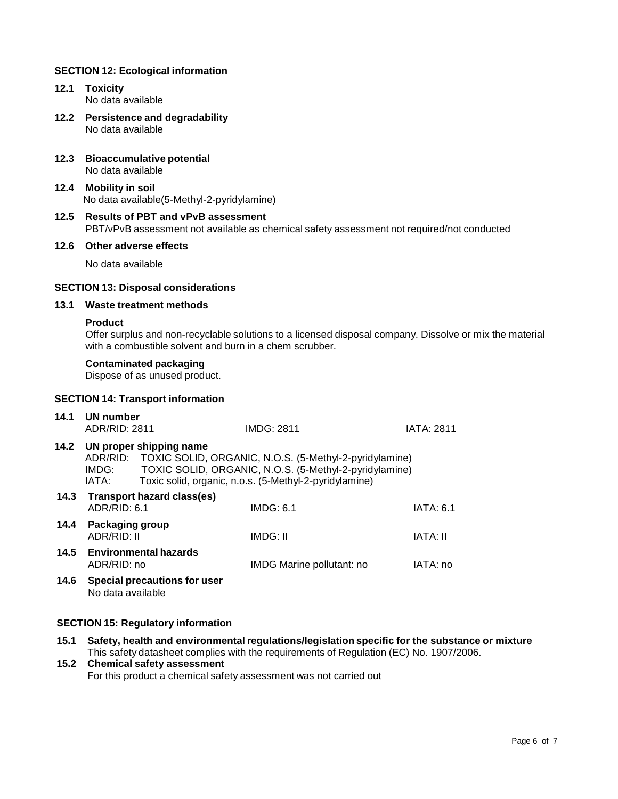## **SECTION 12: Ecological information**

- **12.1 Toxicity** No data available
- **12.2 Persistence and degradability** No data available
- **12.3 Bioaccumulative potential** No data available
- **12.4 Mobility in soil** No data available(5-Methyl-2-pyridylamine)
- **12.5 Results of PBT and vPvB assessment** PBT/vPvB assessment not available as chemical safety assessment not required/not conducted

#### **12.6 Other adverse effects**

No data available

#### **SECTION 13: Disposal considerations**

## **13.1 Waste treatment methods**

#### **Product**

Offer surplus and non-recyclable solutions to a licensed disposal company. Dissolve or mix the material with a combustible solvent and burn in a chem scrubber.

## **Contaminated packaging**

Dispose of as unused product.

#### **SECTION 14: Transport information**

| 14.1 | UN number<br>ADR/RID: 2811                                                                                                                                                                                                       |                                   | IMDG: 2811                       | <b>IATA: 2811</b> |
|------|----------------------------------------------------------------------------------------------------------------------------------------------------------------------------------------------------------------------------------|-----------------------------------|----------------------------------|-------------------|
| 14.2 | UN proper shipping name<br>ADR/RID: TOXIC SOLID, ORGANIC, N.O.S. (5-Methyl-2-pyridylamine)<br>TOXIC SOLID, ORGANIC, N.O.S. (5-Methyl-2-pyridylamine)<br>IMDG:<br>Toxic solid, organic, n.o.s. (5-Methyl-2-pyridylamine)<br>IATA: |                                   |                                  |                   |
| 14.3 | ADR/RID: 6.1                                                                                                                                                                                                                     | <b>Transport hazard class(es)</b> | IMDG: 6.1                        | IATA: 6.1         |
| 14.4 | Packaging group<br>ADR/RID: II                                                                                                                                                                                                   |                                   | IMDG: II                         | IATA: II          |
| 14.5 | <b>Environmental hazards</b><br>ADR/RID: no                                                                                                                                                                                      |                                   | <b>IMDG Marine pollutant: no</b> | IATA: no          |
| 14.6 | No data available                                                                                                                                                                                                                | Special precautions for user      |                                  |                   |

## **SECTION 15: Regulatory information**

**15.1 Safety, health and environmental regulations/legislation specific for the substance ormixture** This safety datasheet complies with the requirements of Regulation (EC) No. 1907/2006.

## **15.2 Chemical safety assessment** For this product a chemical safety assessment was not carried out